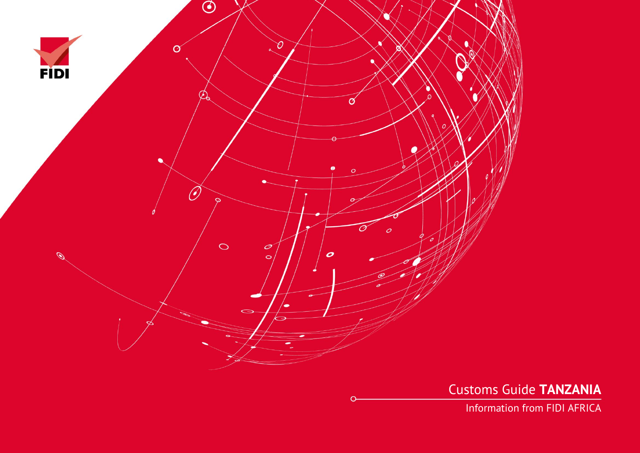

Customs Guide **TANZANIA**

Information from FIDI AFRICA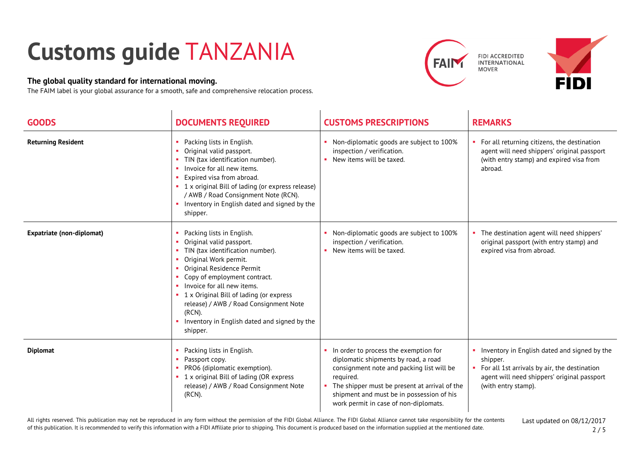## **Customs guide** TANZANIA

## **The global quality standard for international moving.**

The FAIM label is your global assurance for a smooth, safe and comprehensive relocation process.





| <b>GOODS</b>                     | <b>DOCUMENTS REQUIRED</b>                                                                                                                                                                                                                                                                                                                                                                       | <b>CUSTOMS PRESCRIPTIONS</b>                                                                                                                                                                                                                                                     | <b>REMARKS</b>                                                                                                                                                                   |
|----------------------------------|-------------------------------------------------------------------------------------------------------------------------------------------------------------------------------------------------------------------------------------------------------------------------------------------------------------------------------------------------------------------------------------------------|----------------------------------------------------------------------------------------------------------------------------------------------------------------------------------------------------------------------------------------------------------------------------------|----------------------------------------------------------------------------------------------------------------------------------------------------------------------------------|
| <b>Returning Resident</b>        | Packing lists in English.<br>Original valid passport.<br>TIN (tax identification number).<br>Invoice for all new items.<br>Expired visa from abroad.<br>• 1 x original Bill of lading (or express release)<br>/ AWB / Road Consignment Note (RCN).<br>Inventory in English dated and signed by the<br>$\mathbf{u}$ .<br>shipper.                                                                | • Non-diplomatic goods are subject to 100%<br>inspection / verification.<br>• New items will be taxed.                                                                                                                                                                           | • For all returning citizens, the destination<br>agent will need shippers' original passport<br>(with entry stamp) and expired visa from<br>abroad.                              |
| <b>Expatriate (non-diplomat)</b> | Packing lists in English.<br>Original valid passport.<br>TIN (tax identification number).<br>Original Work permit.<br>Original Residence Permit<br>Copy of employment contract.<br>Invoice for all new items.<br>$\mathbf{u}$ .<br>• 1 x Original Bill of lading (or express<br>release) / AWB / Road Consignment Note<br>$(RCN)$ .<br>Inventory in English dated and signed by the<br>shipper. | Non-diplomatic goods are subject to 100%<br>inspection / verification.<br>• New items will be taxed.                                                                                                                                                                             | The destination agent will need shippers'<br>original passport (with entry stamp) and<br>expired visa from abroad.                                                               |
| <b>Diplomat</b>                  | Packing lists in English.<br>Passport copy.<br>п.<br>PRO6 (diplomatic exemption).<br>• 1 x original Bill of lading (OR express<br>release) / AWB / Road Consignment Note<br>(RCN).                                                                                                                                                                                                              | In order to process the exemption for<br>diplomatic shipments by road, a road<br>consignment note and packing list will be<br>required.<br>• The shipper must be present at arrival of the<br>shipment and must be in possession of his<br>work permit in case of non-diplomats. | • Inventory in English dated and signed by the<br>shipper.<br>For all 1st arrivals by air, the destination<br>agent will need shippers' original passport<br>(with entry stamp). |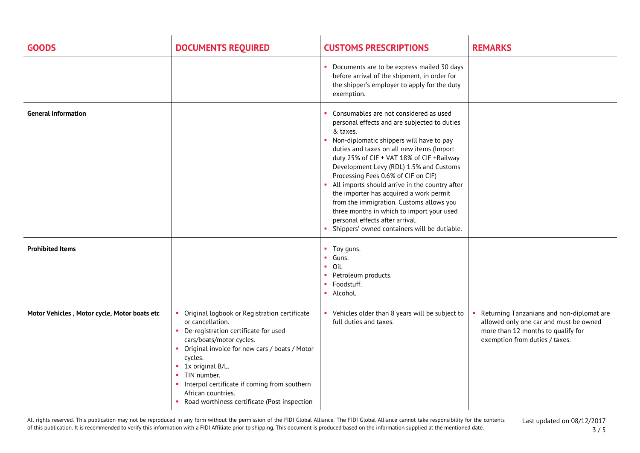| <b>GOODS</b>                                 | <b>DOCUMENTS REQUIRED</b>                                                                                                                                                                                                                                                                                                                                             | <b>CUSTOMS PRESCRIPTIONS</b>                                                                                                                                                                                                                                                                                                                                                                                                                                                                                                                                                                          | <b>REMARKS</b>                                                                                                                                              |
|----------------------------------------------|-----------------------------------------------------------------------------------------------------------------------------------------------------------------------------------------------------------------------------------------------------------------------------------------------------------------------------------------------------------------------|-------------------------------------------------------------------------------------------------------------------------------------------------------------------------------------------------------------------------------------------------------------------------------------------------------------------------------------------------------------------------------------------------------------------------------------------------------------------------------------------------------------------------------------------------------------------------------------------------------|-------------------------------------------------------------------------------------------------------------------------------------------------------------|
|                                              |                                                                                                                                                                                                                                                                                                                                                                       | • Documents are to be express mailed 30 days<br>before arrival of the shipment, in order for<br>the shipper's employer to apply for the duty<br>exemption.                                                                                                                                                                                                                                                                                                                                                                                                                                            |                                                                                                                                                             |
| <b>General Information</b>                   |                                                                                                                                                                                                                                                                                                                                                                       | Consumables are not considered as used<br>personal effects and are subjected to duties<br>& taxes.<br>• Non-diplomatic shippers will have to pay<br>duties and taxes on all new items (Import<br>duty 25% of CIF + VAT 18% of CIF +Railway<br>Development Levy (RDL) 1.5% and Customs<br>Processing Fees 0.6% of CIF on CIF)<br>All imports should arrive in the country after<br>the importer has acquired a work permit<br>from the immigration. Customs allows you<br>three months in which to import your used<br>personal effects after arrival.<br>Shippers' owned containers will be dutiable. |                                                                                                                                                             |
| <b>Prohibited Items</b>                      |                                                                                                                                                                                                                                                                                                                                                                       | • Toy guns.<br>• Guns.<br>$\blacksquare$ Oil.<br>• Petroleum products.<br>• Foodstuff.<br>· Alcohol.                                                                                                                                                                                                                                                                                                                                                                                                                                                                                                  |                                                                                                                                                             |
| Motor Vehicles, Motor cycle, Motor boats etc | • Original logbook or Registration certificate<br>or cancellation.<br>• De-registration certificate for used<br>cars/boats/motor cycles.<br>• Original invoice for new cars / boats / Motor<br>cycles.<br>• 1x original B/L.<br>• TIN number.<br>• Interpol certificate if coming from southern<br>African countries.<br>Road worthiness certificate (Post inspection | • Vehicles older than 8 years will be subject to<br>full duties and taxes.                                                                                                                                                                                                                                                                                                                                                                                                                                                                                                                            | Returning Tanzanians and non-diplomat are<br>allowed only one car and must be owned<br>more than 12 months to qualify for<br>exemption from duties / taxes. |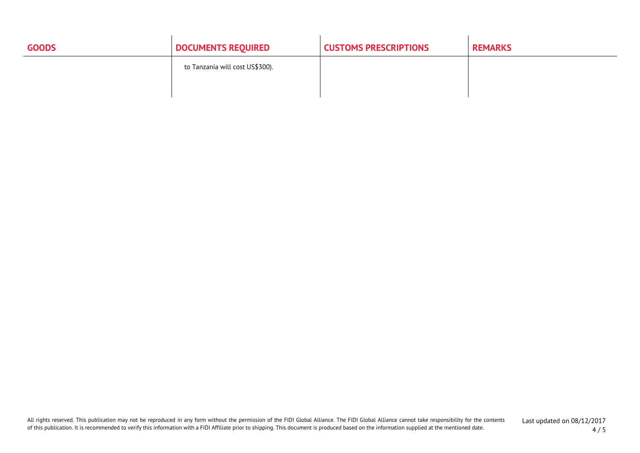| <b>GOODS</b> | <b>DOCUMENTS REQUIRED</b>       | <b>CUSTOMS PRESCRIPTIONS</b> | <b>REMARKS</b> |
|--------------|---------------------------------|------------------------------|----------------|
|              | to Tanzania will cost US\$300). |                              |                |
|              |                                 |                              |                |